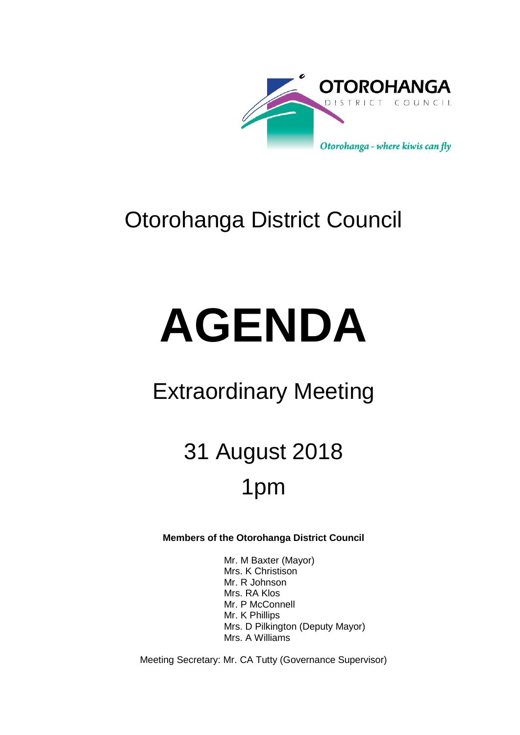

## Otorohanga District Council

# **AGENDA**

## Extraordinary Meeting

# 31 August 2018 1pm

## **Members of the Otorohanga District Council**

Mr. M Baxter (Mayor) Mrs. K Christison Mr. R Johnson Mrs. RA Klos Mr. P McConnell Mr. K Phillips Mrs. D Pilkington (Deputy Mayor) Mrs. A Williams

Meeting Secretary: Mr. CA Tutty (Governance Supervisor)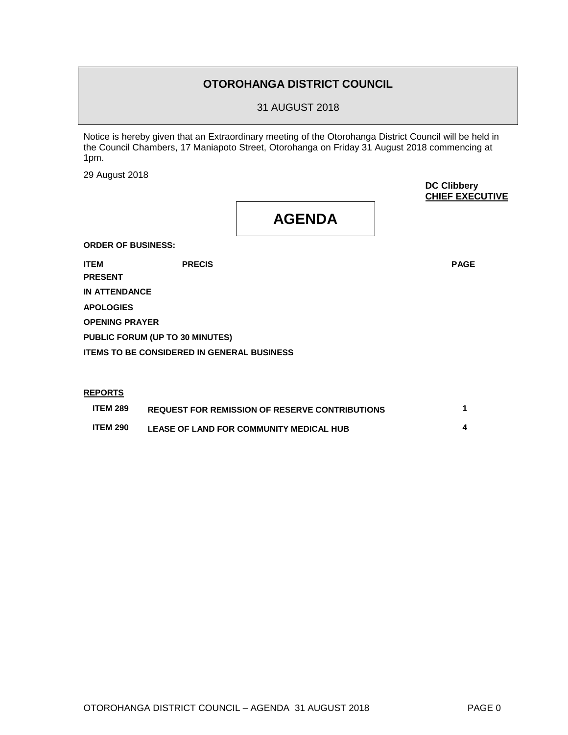### **OTOROHANGA DISTRICT COUNCIL**

31 AUGUST 2018

Notice is hereby given that an Extraordinary meeting of the Otorohanga District Council will be held in the Council Chambers, 17 Maniapoto Street, Otorohanga on Friday 31 August 2018 commencing at 1pm.

29 August 2018

**DC Clibbery CHIEF EXECUTIVE**

**AGENDA**

**ORDER OF BUSINESS:**

**ITEM PRECIS PAGE**

**PRESENT**

**IN ATTENDANCE**

**APOLOGIES**

**OPENING PRAYER**

**PUBLIC FORUM (UP TO 30 MINUTES)** 

**ITEMS TO BE CONSIDERED IN GENERAL BUSINESS**

#### **REPORTS**

| <b>ITEM 289</b> | <b>REQUEST FOR REMISSION OF RESERVE CONTRIBUTIONS</b> |  |
|-----------------|-------------------------------------------------------|--|
| <b>ITEM 290</b> | LEASE OF LAND FOR COMMUNITY MEDICAL HUB               |  |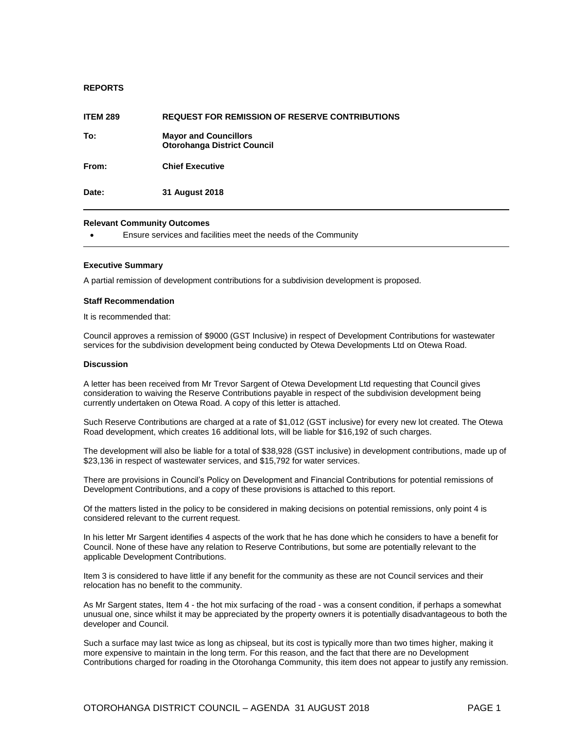#### **REPORTS**

| <b>ITEM 289</b> | <b>REQUEST FOR REMISSION OF RESERVE CONTRIBUTIONS</b>              |
|-----------------|--------------------------------------------------------------------|
| To:             | <b>Mayor and Councillors</b><br><b>Otorohanga District Council</b> |
| From:           | <b>Chief Executive</b>                                             |
| Date:           | 31 August 2018                                                     |

#### **Relevant Community Outcomes**

Ensure services and facilities meet the needs of the Community

#### **Executive Summary**

A partial remission of development contributions for a subdivision development is proposed.

#### **Staff Recommendation**

It is recommended that:

Council approves a remission of \$9000 (GST Inclusive) in respect of Development Contributions for wastewater services for the subdivision development being conducted by Otewa Developments Ltd on Otewa Road.

#### **Discussion**

A letter has been received from Mr Trevor Sargent of Otewa Development Ltd requesting that Council gives consideration to waiving the Reserve Contributions payable in respect of the subdivision development being currently undertaken on Otewa Road. A copy of this letter is attached.

Such Reserve Contributions are charged at a rate of \$1,012 (GST inclusive) for every new lot created. The Otewa Road development, which creates 16 additional lots, will be liable for \$16,192 of such charges.

The development will also be liable for a total of \$38,928 (GST inclusive) in development contributions, made up of \$23,136 in respect of wastewater services, and \$15,792 for water services.

There are provisions in Council's Policy on Development and Financial Contributions for potential remissions of Development Contributions, and a copy of these provisions is attached to this report.

Of the matters listed in the policy to be considered in making decisions on potential remissions, only point 4 is considered relevant to the current request.

In his letter Mr Sargent identifies 4 aspects of the work that he has done which he considers to have a benefit for Council. None of these have any relation to Reserve Contributions, but some are potentially relevant to the applicable Development Contributions.

Item 3 is considered to have little if any benefit for the community as these are not Council services and their relocation has no benefit to the community.

As Mr Sargent states, Item 4 - the hot mix surfacing of the road - was a consent condition, if perhaps a somewhat unusual one, since whilst it may be appreciated by the property owners it is potentially disadvantageous to both the developer and Council.

Such a surface may last twice as long as chipseal, but its cost is typically more than two times higher, making it more expensive to maintain in the long term. For this reason, and the fact that there are no Development Contributions charged for roading in the Otorohanga Community, this item does not appear to justify any remission.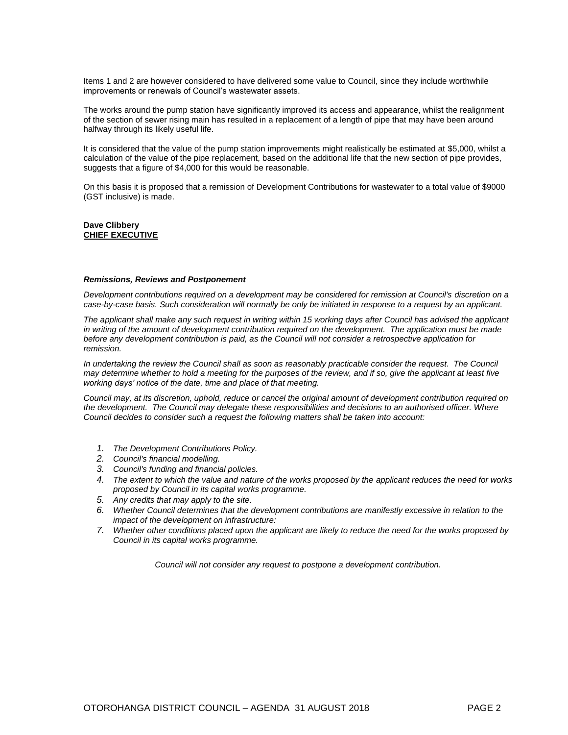Items 1 and 2 are however considered to have delivered some value to Council, since they include worthwhile improvements or renewals of Council's wastewater assets.

The works around the pump station have significantly improved its access and appearance, whilst the realignment of the section of sewer rising main has resulted in a replacement of a length of pipe that may have been around halfway through its likely useful life.

It is considered that the value of the pump station improvements might realistically be estimated at \$5,000, whilst a calculation of the value of the pipe replacement, based on the additional life that the new section of pipe provides, suggests that a figure of \$4,000 for this would be reasonable.

On this basis it is proposed that a remission of Development Contributions for wastewater to a total value of \$9000 (GST inclusive) is made.

#### **Dave Clibbery CHIEF EXECUTIVE**

#### *Remissions, Reviews and Postponement*

*Development contributions required on a development may be considered for remission at Council's discretion on a case-by-case basis. Such consideration will normally be only be initiated in response to a request by an applicant.*

*The applicant shall make any such request in writing within 15 working days after Council has advised the applicant in writing of the amount of development contribution required on the development. The application must be made before any development contribution is paid, as the Council will not consider a retrospective application for remission.*

In undertaking the review the Council shall as soon as reasonably practicable consider the request. The Council *may determine whether to hold a meeting for the purposes of the review, and if so, give the applicant at least five working days' notice of the date, time and place of that meeting.* 

*Council may, at its discretion, uphold, reduce or cancel the original amount of development contribution required on the development. The Council may delegate these responsibilities and decisions to an authorised officer. Where Council decides to consider such a request the following matters shall be taken into account:*

- *1. The Development Contributions Policy.*
- *2. Council's financial modelling.*
- *3. Council's funding and financial policies.*
- *4. The extent to which the value and nature of the works proposed by the applicant reduces the need for works proposed by Council in its capital works programme.*
- *5. Any credits that may apply to the site.*
- *6. Whether Council determines that the development contributions are manifestly excessive in relation to the impact of the development on infrastructure:*
- *7. Whether other conditions placed upon the applicant are likely to reduce the need for the works proposed by Council in its capital works programme.*

*Council will not consider any request to postpone a development contribution.*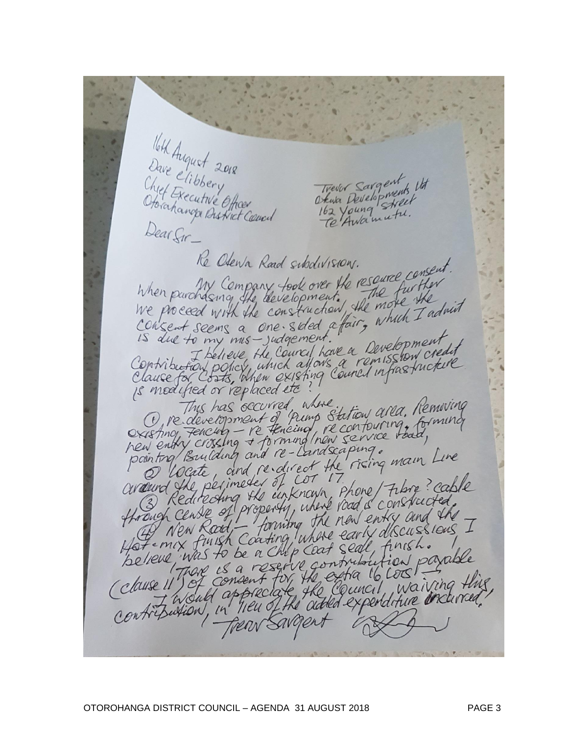Velk August 2018<br>Dave Clibbery<br>Chyef Executive Officer<br>Otorahanga Bustrict Council Trever Sargent Trever Sargent 14<br>Okusa Developments 14<br>162 Voung Street Stata Developments Re Otewa Rand subdivisions. The Oten's Rand subdivision.<br>When parcharing the development. The further When purchasing the development. The first ste<br>We proceed with the construction, the more the<br>Consent seems a one sided afair, which I admit is due to my mis-judgement. to my mis-judgement."<br>I believe the Courcil have a Development<br>FOW policy which allows a remission cre Contribution policy, which allows a remission credit<br>Clause for Costs, when existing council infrastructure is medified or replaced etc This has occurred, where. This has occurred, where<br>O redevelopment of Prime Station area, Removing O redevelopment of Prime Station and Continuing<br>Cristing Fencing - re Heneing, recontouring, forming<br>hew entry crossing + forming Inon service road,<br>pointing Building and re-landscaping. pointing Building and re-Landscaping.<br>pointing Building and re-direct the rising main Line<br>avalund the perimeter of COT 17. avaurd the perimeder of cot 17.<br>Hrough Centre of property, while you is constructed. ropenty, where you is constructed the New Road, forming the new entry and the I Motemex finish Coating, where early wiscont. Benever (France et a reservé contribution paraise) Frear Sargent